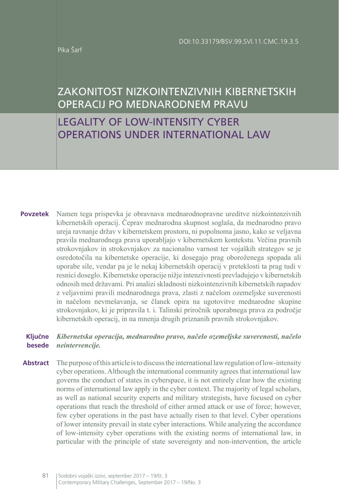Pika Šarf

# ZAKONITOST NIZKOINTENZIVNIH KIBERNETSKIH OPERACIJ PO MEDNARODNEM PRAVU

LEGALITY OF LOW-INTENSITY CYBER OPERATIONS UNDER INTERNATIONAL LAW

Namen tega prispevka je obravnava mednarodnopravne ureditve nizkointenzivnih kibernetskih operacij. Čeprav mednarodna skupnost soglaša, da mednarodno pravo ureja ravnanje držav v kibernetskem prostoru, ni popolnoma jasno, kako se veljavna pravila mednarodnega prava uporabljajo v kibernetskem kontekstu. Večina pravnih strokovnjakov in strokovnjakov za nacionalno varnost ter vojaških strategov se je osredotočila na kibernetske operacije, ki dosegajo prag oboroženega spopada ali uporabe sile, vendar pa je le nekaj kibernetskih operacij v preteklosti ta prag tudi v resnici doseglo. Kibernetske operacije nižje intenzivnosti prevladujejo v kibernetskih odnosih med državami. Pri analizi skladnosti nizkointenzivnih kibernetskih napadov z veljavnimi pravili mednarodnega prava, zlasti z načelom ozemeljske suverenosti in načelom nevmešavanja, se članek opira na ugotovitve mednarodne skupine strokovnjakov, ki je pripravila t. i. Talinski priročnik uporabnega prava za področje kibernetskih operacij, in na mnenja drugih priznanih pravnih strokovnjakov. **Povzetek**

#### *Kibernetska operacija, mednarodno pravo, načelo ozemeljske suverenosti, načelo neintervencije.* **Ključne besede**

The purpose of this article is to discuss the international law regulation of low-intensity cyber operations. Although the international community agrees that international law governs the conduct of states in cyberspace, it is not entirely clear how the existing norms of international law apply in the cyber context. The majority of legal scholars, as well as national security experts and military strategists, have focused on cyber operations that reach the threshold of either armed attack or use of force; however, few cyber operations in the past have actually risen to that level. Cyber operations of lower intensity prevail in state cyber interactions. While analyzing the accordance of low-intensity cyber operations with the existing norms of international law, in particular with the principle of state sovereignty and non-intervention, the article **Abstract**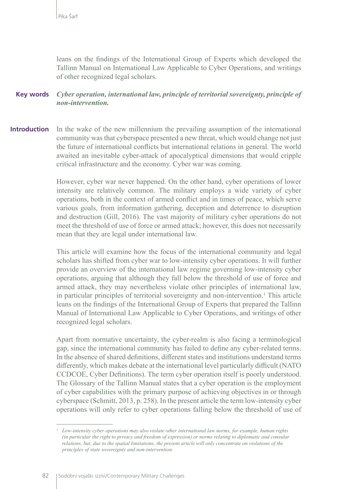leans on the findings of the International Group of Experts which developed the Tallinn Manual on International Law Applicable to Cyber Operations, and writings of other recognized legal scholars.

#### *Cyber operation, international law, principle of territorial sovereignty, principle of non-intervention.* **Key words**

In the wake of the new millennium the prevailing assumption of the international community was that cyberspace presented a new threat, which would change not just the future of international conflicts but international relations in general. The world awaited an inevitable cyber-attack of apocalyptical dimensions that would cripple critical infrastructure and the economy. Cyber war was coming. **Introduction**

> However, cyber war never happened. On the other hand, cyber operations of lower intensity are relatively common. The military employs a wide variety of cyber operations, both in the context of armed conflict and in times of peace, which serve various goals, from information gathering, deception and deterrence to disruption and destruction (Gill, 2016). The vast majority of military cyber operations do not meet the threshold of use of force or armed attack; however, this does not necessarily mean that they are legal under international law.

> This article will examine how the focus of the international community and legal scholars has shifted from cyber war to low-intensity cyber operations. It will further provide an overview of the international law regime governing low-intensity cyber operations, arguing that although they fall below the threshold of use of force and armed attack, they may nevertheless violate other principles of international law, in particular principles of territorial sovereignty and non-intervention.<sup>1</sup> This article leans on the findings of the International Group of Experts that prepared the Tallinn Manual of International Law Applicable to Cyber Operations, and writings of other recognized legal scholars.

> Apart from normative uncertainty, the cyber-realm is also facing a terminological gap, since the international community has failed to define any cyber-related terms. In the absence of shared definitions, different states and institutions understand terms differently, which makes debate at the international level particularly difficult (NATO CCDCOE, Cyber Definitions). The term cyber operation itself is poorly understood. The Glossary of the Tallinn Manual states that a cyber operation is the employment of cyber capabilities with the primary purpose of achieving objectives in or through cyberspace (Schmitt, 2013, p. 258). In the present article the term low-intensity cyber operations will only refer to cyber operations falling below the threshold of use of

*<sup>1</sup> Low-intensity cyber operations may also violate other international law norms, for example, human rights (in particular the right to privacy and freedom of expression) or norms relating to diplomatic and consular relations, but, due to the spatial limitations, the present article will only concentrate on violations of the principles of state sovereignty and non-intervention.*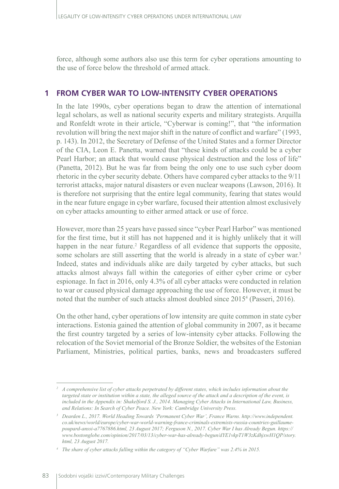force, although some authors also use this term for cyber operations amounting to the use of force below the threshold of armed attack.

## **1 FROM CYBER WAR TO LOW-INTENSITY CYBER OPERATIONS**

In the late 1990s, cyber operations began to draw the attention of international legal scholars, as well as national security experts and military strategists. Arquilla and Ronfeldt wrote in their article, "Cyberwar is coming!", that "the information revolution will bring the next major shift in the nature of conflict and warfare" (1993, p. 143). In 2012, the Secretary of Defense of the United States and a former Director of the CIA, Leon E. Panetta, warned that "these kinds of attacks could be a cyber Pearl Harbor; an attack that would cause physical destruction and the loss of life" (Panetta, 2012). But he was far from being the only one to use such cyber doom rhetoric in the cyber security debate. Others have compared cyber attacks to the 9/11 terrorist attacks, major natural disasters or even nuclear weapons (Lawson, 2016). It is therefore not surprising that the entire legal community, fearing that states would in the near future engage in cyber warfare, focused their attention almost exclusively on cyber attacks amounting to either armed attack or use of force.

However, more than 25 years have passed since "cyber Pearl Harbor" was mentioned for the first time, but it still has not happened and it is highly unlikely that it will happen in the near future.<sup>2</sup> Regardless of all evidence that supports the opposite, some scholars are still asserting that the world is already in a state of cyber war.<sup>3</sup> Indeed, states and individuals alike are daily targeted by cyber attacks, but such attacks almost always fall within the categories of either cyber crime or cyber espionage. In fact in 2016, only 4.3% of all cyber attacks were conducted in relation to war or caused physical damage approaching the use of force. However, it must be noted that the number of such attacks almost doubled since 20154 (Passeri, 2016).

On the other hand, cyber operations of low intensity are quite common in state cyber interactions. Estonia gained the attention of global community in 2007, as it became the first country targeted by a series of low-intensity cyber attacks. Following the relocation of the Soviet memorial of the Bronze Soldier, the websites of the Estonian Parliament, Ministries, political parties, banks, news and broadcasters suffered

*<sup>2</sup> A comprehensive list of cyber attacks perpetrated by different states, which includes information about the targeted state or institution within a state, the alleged source of the attack and a description of the event, is included in the Appendix in: Shakelford S. J., 2014. Managing Cyber Attacks in International Law, Business, and Relations: In Search of Cyber Peace. New York: Cambridge University Press.* 

*<sup>3</sup> Dearden L., 2017. World Heading Towards 'Permanent Cyber War', France Warns. http://www.independent. co.uk/news/world/europe/cyber-war-world-warning-france-criminals-extremists-russia-countries-guillaumepoupard-anssi-a7767886.html, 23 August 2017; Ferguson N., 2017. Cyber War I has Already Begun. https:// www.bostonglobe.com/opinion/2017/03/13/cyber-war-has-already-begun/dYE1vkpT1W3zKdhjxwH1QP/story. html, 23 August 2017.*

*<sup>4</sup> The share of cyber attacks falling within the category of "Cyber Warfare" was 2.4% in 2015.*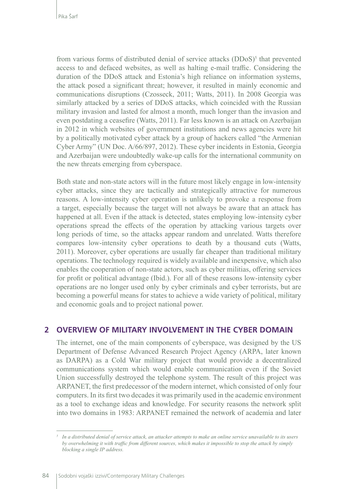from various forms of distributed denial of service attacks (DDoS)<sup>5</sup> that prevented access to and defaced websites, as well as halting e-mail traffic. Considering the duration of the DDoS attack and Estonia's high reliance on information systems, the attack posed a significant threat; however, it resulted in mainly economic and communications disruptions (Czosseck, 2011; Watts, 2011). In 2008 Georgia was similarly attacked by a series of DDoS attacks, which coincided with the Russian military invasion and lasted for almost a month, much longer than the invasion and even postdating a ceasefire (Watts, 2011). Far less known is an attack on Azerbaijan in 2012 in which websites of government institutions and news agencies were hit by a politically motivated cyber attack by a group of hackers called "the Armenian Cyber Army" (UN Doc. A/66/897, 2012). These cyber incidents in Estonia, Georgia and Azerbaijan were undoubtedly wake-up calls for the international community on the new threats emerging from cyberspace.

Both state and non-state actors will in the future most likely engage in low-intensity cyber attacks, since they are tactically and strategically attractive for numerous reasons. A low-intensity cyber operation is unlikely to provoke a response from a target, especially because the target will not always be aware that an attack has happened at all. Even if the attack is detected, states employing low-intensity cyber operations spread the effects of the operation by attacking various targets over long periods of time, so the attacks appear random and unrelated. Watts therefore compares low-intensity cyber operations to death by a thousand cuts (Watts, 2011). Moreover, cyber operations are usually far cheaper than traditional military operations. The technology required is widely available and inexpensive, which also enables the cooperation of non-state actors, such as cyber militias, offering services for profit or political advantage (Ibid.). For all of these reasons low-intensity cyber operations are no longer used only by cyber criminals and cyber terrorists, but are becoming a powerful means for states to achieve a wide variety of political, military and economic goals and to project national power.

#### **2 OVERVIEW OF MILITARY INVOLVEMENT IN THE CYBER DOMAIN**

The internet, one of the main components of cyberspace, was designed by the US Department of Defense Advanced Research Project Agency (ARPA, later known as DARPA) as a Cold War military project that would provide a decentralized communications system which would enable communication even if the Soviet Union successfully destroyed the telephone system. The result of this project was ARPANET, the first predecessor of the modern internet, which consisted of only four computers. In its first two decades it was primarily used in the academic environment as a tool to exchange ideas and knowledge. For security reasons the network split into two domains in 1983: ARPANET remained the network of academia and later

*<sup>5</sup> In a distributed denial of service attack, an attacker attempts to make an online service unavailable to its users by overwhelming it with traffic from different sources, which makes it impossible to stop the attack by simply blocking a single IP address.*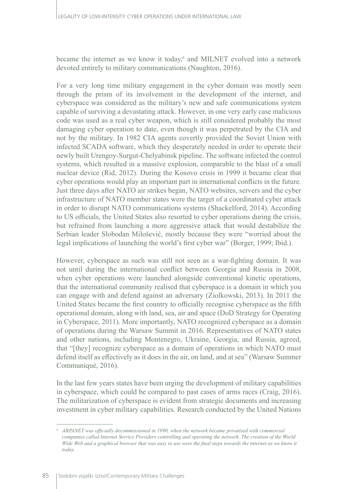became the internet as we know it today,<sup>6</sup> and MILNET evolved into a network devoted entirely to military communications (Naughton, 2016).

For a very long time military engagement in the cyber domain was mostly seen through the prism of its involvement in the development of the internet, and cyberspace was considered as the military's new and safe communications system capable of surviving a devastating attack. However, in one very early case malicious code was used as a real cyber weapon, which is still considered probably the most damaging cyber operation to date, even though it was perpetrated by the CIA and not by the military. In 1982 CIA agents covertly provided the Soviet Union with infected SCADA software, which they desperately needed in order to operate their newly built Urengoy-Surgut-Chelyabinsk pipeline. The software infected the control systems, which resulted in a massive explosion, comparable to the blast of a small nuclear device (Rid, 2012). During the Kosovo crisis in 1999 it became clear that cyber operations would play an important part in international conflicts in the future. Just three days after NATO air strikes began, NATO websites, servers and the cyber infrastructure of NATO member states were the target of a coordinated cyber attack in order to disrupt NATO communications systems (Shackelford, 2014). According to US officials, the United States also resorted to cyber operations during the crisis, but refrained from launching a more aggressive attack that would destabilize the Serbian leader Slobodan Milošević, mostly because they were "worried about the legal implications of launching the world's first cyber war" (Borger, 1999; Ibid.).

However, cyberspace as such was still not seen as a war-fighting domain. It was not until during the international conflict between Georgia and Russia in 2008, when cyber operations were launched alongside conventional kinetic operations, that the international community realised that cyberspace is a domain in which you can engage with and defend against an adversary (Ziolkowski, 2013). In 2011 the United States became the first country to officially recognise cyberspace as the fifth operational domain, along with land, sea, air and space (DoD Strategy for Operating in Cyberspace, 2011). More importantly, NATO recognized cyberspace as a domain of operations during the Warsaw Summit in 2016. Representatives of NATO states and other nations, including Montenegro, Ukraine, Georgia, and Russia, agreed, that "[they] recognize cyberspace as a domain of operations in which NATO must defend itself as effectively as it does in the air, on land, and at sea" (Warsaw Summer Communiqué, 2016).

In the last few years states have been urging the development of military capabilities in cyberspace, which could be compared to past cases of arms races (Craig, 2016). The militarization of cyberspace is evident from strategic documents and increasing investment in cyber military capabilities. Research conducted by the United Nations

*<sup>6</sup> ARPANET was officially decommissioned in 1990, when the network became privatised with commercial companies called Internet Service Providers controlling and operating the network. The creation of the World Wide Web and a graphical browser that was easy to use were the final steps towards the internet as we know it today.*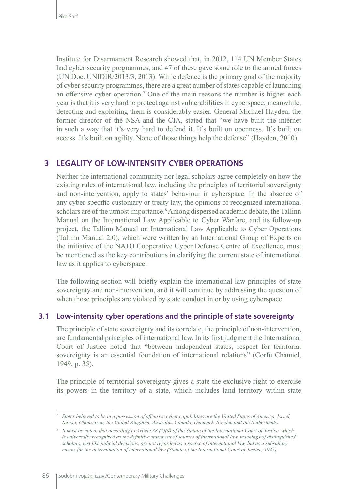Institute for Disarmament Research showed that, in 2012, 114 UN Member States had cyber security programmes, and 47 of these gave some role to the armed forces (UN Doc. UNIDIR/2013/3, 2013). While defence is the primary goal of the majority of cyber security programmes, there are a great number of states capable of launching an offensive cyber operation.<sup>7</sup> One of the main reasons the number is higher each year is that it is very hard to protect against vulnerabilities in cyberspace; meanwhile, detecting and exploiting them is considerably easier. General Michael Hayden, the former director of the NSA and the CIA, stated that "we have built the internet in such a way that it's very hard to defend it. It's built on openness. It's built on access. It's built on agility. None of those things help the defense" (Hayden, 2010).

### **3 LEGALITY OF LOW-INTENSITY CYBER OPERATIONS**

Neither the international community nor legal scholars agree completely on how the existing rules of international law, including the principles of territorial sovereignty and non-intervention, apply to states' behaviour in cyberspace. In the absence of any cyber-specific customary or treaty law, the opinions of recognized international scholars are of the utmost importance.<sup>8</sup> Among dispersed academic debate, the Tallinn Manual on the International Law Applicable to Cyber Warfare, and its follow-up project, the Tallinn Manual on International Law Applicable to Cyber Operations (Tallinn Manual 2.0), which were written by an International Group of Experts on the initiative of the NATO Cooperative Cyber Defense Centre of Excellence, must be mentioned as the key contributions in clarifying the current state of international law as it applies to cyberspace.

The following section will briefly explain the international law principles of state sovereignty and non-intervention, and it will continue by addressing the question of when those principles are violated by state conduct in or by using cyberspace.

#### **3.1 Low-intensity cyber operations and the principle of state sovereignty**

The principle of state sovereignty and its correlate, the principle of non-intervention, are fundamental principles of international law. In its first judgment the International Court of Justice noted that "between independent states, respect for territorial sovereignty is an essential foundation of international relations" (Corfu Channel, 1949, p. 35).

The principle of territorial sovereignty gives a state the exclusive right to exercise its powers in the territory of a state, which includes land territory within state

*<sup>7</sup> States believed to be in a possession of offensive cyber capabilities are the United States of America, Israel, Russia, China, Iran, the United Kingdom, Australia, Canada, Denmark, Sweden and the Netherlands.*

*<sup>8</sup> It must be noted, that according to Article 38 (1)(d) of the Statute of the International Court of Justice, which is universally recognized as the definitive statement of sources of international law, teachings of distinguished scholars, just like judicial decisions, are not regarded as a source of international law, but as a subsidiary means for the determination of international law (Statute of the International Court of Justice, 1945).*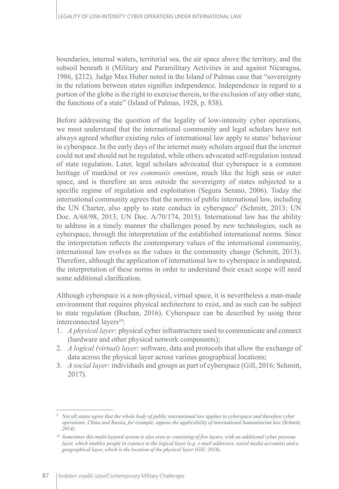boundaries, internal waters, territorial sea, the air space above the territory, and the subsoil beneath it (Military and Paramilitary Activities in and against Nicaragua, 1986, §212). Judge Max Huber noted in the Island of Palmas case that "sovereignty in the relations between states signifies independence. Independence in regard to a portion of the globe is the right to exercise therein, to the exclusion of any other state, the functions of a state" (Island of Palmas, 1928, p. 838).

Before addressing the question of the legality of low-intensity cyber operations, we must understand that the international community and legal scholars have not always agreed whether existing rules of international law apply to states' behaviour in cyberspace. In the early days of the internet many scholars argued that the internet could not and should not be regulated, while others advocated self-regulation instead of state regulation. Later, legal scholars advocated that cyberspace is a common heritage of mankind or *res communis omnium*, much like the high seas or outer space, and is therefore an area outside the sovereignty of states subjected to a specific regime of regulation and exploitation (Segura Serano, 2006). Today the international community agrees that the norms of public international law, including the UN Charter, also apply to state conduct in cyberspace<sup>9</sup> (Schmitt, 2013; UN Doc. A/68/98, 2013; UN Doc. A/70/174, 2015). International law has the ability to address in a timely manner the challenges posed by new technologies, such as cyberspace, through the interpretation of the established international norms. Since the interpretation reflects the contemporary values of the international community, international law evolves as the values in the community change (Schmitt, 2013). Therefore, although the application of international law to cyberspace is undisputed, the interpretation of these norms in order to understand their exact scope will need some additional clarification.

Although cyberspace is a non-physical, virtual space, it is nevertheless a man-made environment that requires physical architecture to exist, and as such can be subject to state regulation (Buchan, 2016). Cyberspace can be described by using three interconnected layers $10$ :

- 1. *A physical layer:* physical cyber infrastructure used to communicate and connect (hardware and other physical network components);
- 2. *A logical (virtual) layer:* software, data and protocols that allow the exchange of data across the physical layer across various geographical locations;
- 3. *A social layer:* individuals and groups as part of cyberspace (Gill, 2016; Schmitt, 2017).

*<sup>9</sup> Not all states agree that the whole body of public international law applies to cyberspace and therefore cyber operations. China and Russia, for example, oppose the applicability of international humanitarian law (Schmitt, 2014).*

*<sup>10</sup> Sometimes this multi-layered system is also seen as consisting of five layers, with an additional cyber persona layer, which enables people to connect to the logical layer (e.g. e-mail addresses, social media accounts) and a geographical layer, which is the location of the physical layer (Gill, 2016).*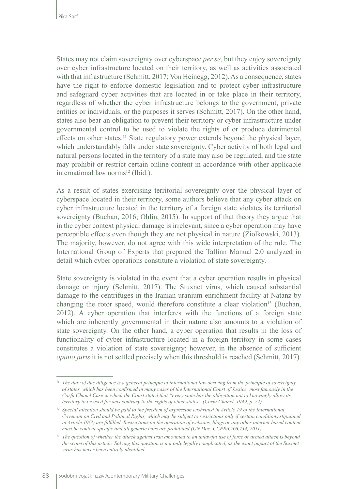States may not claim sovereignty over cyberspace *per se*, but they enjoy sovereignty over cyber infrastructure located on their territory, as well as activities associated with that infrastructure (Schmitt, 2017; Von Heinegg, 2012). As a consequence, states have the right to enforce domestic legislation and to protect cyber infrastructure and safeguard cyber activities that are located in or take place in their territory, regardless of whether the cyber infrastructure belongs to the government, private entities or individuals, or the purposes it serves (Schmitt, 2017). On the other hand, states also bear an obligation to prevent their territory or cyber infrastructure under governmental control to be used to violate the rights of or produce detrimental effects on other states.<sup>11</sup> State regulatory power extends beyond the physical layer, which understandably falls under state sovereignty. Cyber activity of both legal and natural persons located in the territory of a state may also be regulated, and the state may prohibit or restrict certain online content in accordance with other applicable international law norms<sup>12</sup> (Ibid.).

As a result of states exercising territorial sovereignty over the physical layer of cyberspace located in their territory, some authors believe that any cyber attack on cyber infrastructure located in the territory of a foreign state violates its territorial sovereignty (Buchan, 2016; Ohlin, 2015). In support of that theory they argue that in the cyber context physical damage is irrelevant, since a cyber operation may have perceptible effects even though they are not physical in nature (Ziolkowski, 2013). The majority, however, do not agree with this wide interpretation of the rule. The International Group of Experts that prepared the Tallinn Manual 2.0 analyzed in detail which cyber operations constitute a violation of state sovereignty.

State sovereignty is violated in the event that a cyber operation results in physical damage or injury (Schmitt, 2017). The Stuxnet virus, which caused substantial damage to the centrifuges in the Iranian uranium enrichment facility at Natanz by changing the rotor speed, would therefore constitute a clear violation<sup>13</sup> (Buchan, 2012). A cyber operation that interferes with the functions of a foreign state which are inherently governmental in their nature also amounts to a violation of state sovereignty. On the other hand, a cyber operation that results in the loss of functionality of cyber infrastructure located in a foreign territory in some cases constitutes a violation of state sovereignty; however, in the absence of sufficient *opinio juris* it is not settled precisely when this threshold is reached (Schmitt, 2017).

*<sup>11</sup> The duty of due diligence is a general principle of international law deriving from the principle of sovereignty of states, which has been confirmed in many cases of the International Court of Justice, most famously in the Corfu Chanel Case in which the Court stated that "every state has the obligation not to knowingly allow its territory to be used for acts contrary to the rights of other states" (Corfu Chanel, 1949, p. 22).* 

*<sup>12</sup> Special attention should be paid to the freedom of expression enshrined in Article 19 of the International Covenant on Civil and Political Rights, which may be subject to restrictions only if certain conditions stipulated in Article 19(3) are fulfilled. Restrictions on the operation of websites, blogs or any other internet-based content must be content-specific and all generic bans are prohibited (UN Doc. CCPR/C/GC/34, 2011).*

*<sup>13</sup> The question of whether the attack against Iran amounted to an unlawful use of force or armed attack is beyond the scope of this article. Solving this question is not only legally complicated, as the exact impact of the Stuxnet virus has never been entirely identified.*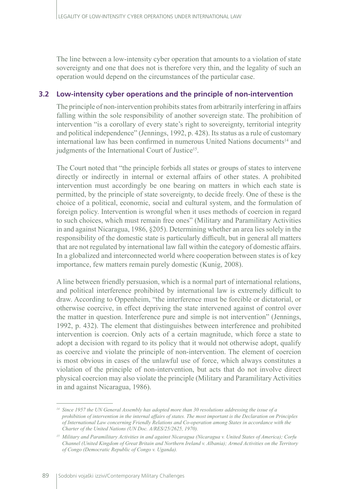The line between a low-intensity cyber operation that amounts to a violation of state sovereignty and one that does not is therefore very thin, and the legality of such an operation would depend on the circumstances of the particular case.

#### **3.2 Low-intensity cyber operations and the principle of non-intervention**

The principle of non-intervention prohibits states from arbitrarily interfering in affairs falling within the sole responsibility of another sovereign state. The prohibition of intervention "is a corollary of every state's right to sovereignty, territorial integrity and political independence" (Jennings, 1992, p. 428). Its status as a rule of customary international law has been confirmed in numerous United Nations documents<sup>14</sup> and judgments of the International Court of Justice<sup>15</sup>.

The Court noted that "the principle forbids all states or groups of states to intervene directly or indirectly in internal or external affairs of other states. A prohibited intervention must accordingly be one bearing on matters in which each state is permitted, by the principle of state sovereignty, to decide freely. One of these is the choice of a political, economic, social and cultural system, and the formulation of foreign policy. Intervention is wrongful when it uses methods of coercion in regard to such choices, which must remain free ones" (Military and Paramilitary Activities in and against Nicaragua, 1986, §205). Determining whether an area lies solely in the responsibility of the domestic state is particularly difficult, but in general all matters that are not regulated by international law fall within the category of domestic affairs. In a globalized and interconnected world where cooperation between states is of key importance, few matters remain purely domestic (Kunig, 2008).

A line between friendly persuasion, which is a normal part of international relations, and political interference prohibited by international law is extremely difficult to draw. According to Oppenheim, "the interference must be forcible or dictatorial, or otherwise coercive, in effect depriving the state intervened against of control over the matter in question. Interference pure and simple is not intervention" (Jennings, 1992, p. 432). The element that distinguishes between interference and prohibited intervention is coercion. Only acts of a certain magnitude, which force a state to adopt a decision with regard to its policy that it would not otherwise adopt, qualify as coercive and violate the principle of non-intervention. The element of coercion is most obvious in cases of the unlawful use of force, which always constitutes a violation of the principle of non-intervention, but acts that do not involve direct physical coercion may also violate the principle (Military and Paramilitary Activities in and against Nicaragua, 1986).

*<sup>14</sup> Since 1957 the UN General Assembly has adopted more than 30 resolutions addressing the issue of a prohibition of intervention in the internal affairs of states. The most important is the Declaration on Principles of International Law concerning Friendly Relations and Co-operation among States in accordance with the Charter of the United Nations (UN Doc. A/RES/25/2625, 1970).*

*<sup>15</sup> Military and Paramilitary Activities in and against Nicaragua (Nicaragua v. United States of America); Corfu Channel (United Kingdom of Great Britain and Northern Ireland v. Albania); Armed Activities on the Territory of Congo (Democratic Republic of Congo v. Uganda).*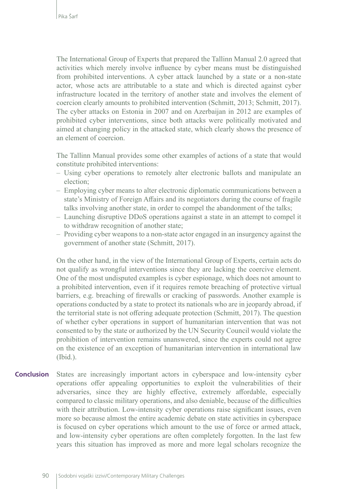The International Group of Experts that prepared the Tallinn Manual 2.0 agreed that activities which merely involve influence by cyber means must be distinguished from prohibited interventions. A cyber attack launched by a state or a non-state actor, whose acts are attributable to a state and which is directed against cyber infrastructure located in the territory of another state and involves the element of coercion clearly amounts to prohibited intervention (Schmitt, 2013; Schmitt, 2017). The cyber attacks on Estonia in 2007 and on Azerbaijan in 2012 are examples of prohibited cyber interventions, since both attacks were politically motivated and aimed at changing policy in the attacked state, which clearly shows the presence of an element of coercion.

The Tallinn Manual provides some other examples of actions of a state that would constitute prohibited interventions:

- Using cyber operations to remotely alter electronic ballots and manipulate an election;
- Employing cyber means to alter electronic diplomatic communications between a state's Ministry of Foreign Affairs and its negotiators during the course of fragile talks involving another state, in order to compel the abandonment of the talks;
- Launching disruptive DDoS operations against a state in an attempt to compel it to withdraw recognition of another state;
- Providing cyber weapons to a non-state actor engaged in an insurgency against the government of another state (Schmitt, 2017).

On the other hand, in the view of the International Group of Experts, certain acts do not qualify as wrongful interventions since they are lacking the coercive element. One of the most undisputed examples is cyber espionage, which does not amount to a prohibited intervention, even if it requires remote breaching of protective virtual barriers, e.g. breaching of firewalls or cracking of passwords. Another example is operations conducted by a state to protect its nationals who are in jeopardy abroad, if the territorial state is not offering adequate protection (Schmitt, 2017). The question of whether cyber operations in support of humanitarian intervention that was not consented to by the state or authorized by the UN Security Council would violate the prohibition of intervention remains unanswered, since the experts could not agree on the existence of an exception of humanitarian intervention in international law (Ibid.).

States are increasingly important actors in cyberspace and low-intensity cyber operations offer appealing opportunities to exploit the vulnerabilities of their adversaries, since they are highly effective, extremely affordable, especially compared to classic military operations, and also deniable, because of the difficulties with their attribution. Low-intensity cyber operations raise significant issues, even more so because almost the entire academic debate on state activities in cyberspace is focused on cyber operations which amount to the use of force or armed attack, and low-intensity cyber operations are often completely forgotten. In the last few years this situation has improved as more and more legal scholars recognize the **Conclusion**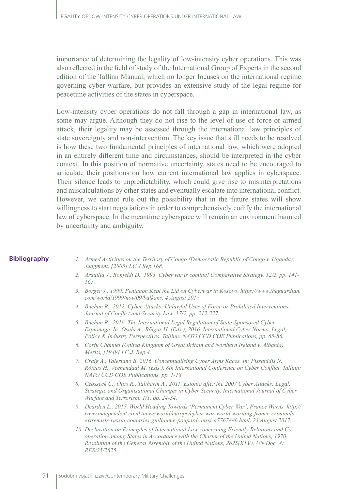importance of determining the legality of low-intensity cyber operations. This was also reflected in the field of study of the International Group of Experts in the second edition of the Tallinn Manual, which no longer focuses on the international regime governing cyber warfare, but provides an extensive study of the legal regime for peacetime activities of the states in cyberspace.

Low-intensity cyber operations do not fall through a gap in international law, as some may argue. Although they do not rise to the level of use of force or armed attack, their legality may be assessed through the international law principles of state sovereignty and non-intervention. The key issue that still needs to be resolved is how these two fundamental principles of international law, which were adopted in an entirely different time and circumstances, should be interpreted in the cyber context. In this position of normative uncertainty, states need to be encouraged to articulate their positions on how current international law applies in cyberspace. Their silence leads to unpredictability, which could give rise to misinterpretations and miscalculations by other states and eventually escalate into international conflict. However, we cannot rule out the possibility that in the future states will show willingness to start negotiations in order to comprehensively codify the international law of cyberspace. In the meantime cyberspace will remain an environment haunted by uncertainty and ambiguity.

#### **Bibliography**

- *1. Armed Activities on the Territory of Congo (Democratic Republic of Congo v. Uganda), Judgment, [2005] I.C.J.Rep.168.*
- *2. Arquilla J., Ronfeldt D., 1993. Cyberwar is coming! Comparative Strategy. 12/2, pp. 141- 165.*
- *3. Borger J., 1999. Pentagon Kept the Lid on Cyberwar in Kosovo. https://www.theguardian. com/world/1999/nov/09/balkans. 4 August 2017.*
- *4. Buchan R., 2012. Cyber Attacks: Unlawful Uses of Force or Prohibited Interventions. Journal of Conflict and Security Law. 17/2, pp. 212-227.*
- *5. Buchan R., 2016. The International Legal Regulation of State-Sponsored Cyber Espionage. In: Osula A., Rõigas H. (Eds.), 2016. International Cyber Norms: Legal, Policy & Industry Perspectives. Tallinn: NATO CCD COE Publications, pp. 65-86.*
- *6. Corfu Channel (United Kingdom of Great Britain and Northern Ireland v. Albania), Merits, [1949] I.C.J. Rep.4.*
- *7. Craig A., Valeriano B, 2016. Conceptualising Cyber Arms Races. In: Pissanidis N., Rõigas H., Veenendaal M. (Eds.). 8th International Conference on Cyber Conflict. Tallinn: NATO CCD COE Publications, pp. 1-18.*
- *8. Czosseck C., Ottis R., Talihärm A., 2011. Estonia after the 2007 Cyber Attacks: Legal, Strategic and Organisational Changes in Cyber Security. International Journal of Cyber Warfare and Terrorism. 1/1, pp. 24-34.*
- *9. Dearden L., 2017. World Heading Towards 'Permanent Cyber War', France Warns. http:// www.independent.co.uk/news/world/europe/cyber-war-world-warning-france-criminalsextremists-russia-countries-guillaume-poupard-anssi-a7767886.html, 23 August 2017.*
- *10. Declaration on Principles of International Law concerning Friendly Relations and Cooperation among States in Accordance with the Charter of the United Nations, 1970. Resolution of the General Assembly of the United Nations, 2625(XXV), UN Doc. A/ RES/25/2625.*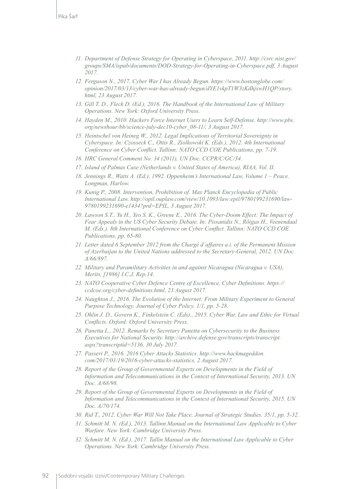- *11. Department of Defense Strategy for Operating in Cyberspace, 2011. http://csrc.nist.gov/ groups/SMA/ispab/documents/DOD-Strategy-for-Operating-in-Cyberspace.pdf, 3 August 2017.*
- *12. Ferguson N., 2017. Cyber War I has Already Begun. https://www.bostonglobe.com/ opinion/2017/03/13/cyber-war-has-already-begun/dYE1vkpT1W3zKdhjxwH1QP/story. html, 23 August 2017.*
- *13. Gill T. D., Fleck D. (Ed.), 2016. The Handbook of the International Law of Military Operations. New York: Oxford University Press.*
- *14. Hayden M., 2010. Hackers Force Internet Users to Learn Self-Defense. http://www.pbs. org/newshour/bb/science-july-dec10-cyber\_08-11/, 3 August 2017.*
- *15. Heintschel von Heineg W., 2012. Legal Implications of Territorial Sovereignty in Cyberspace. In: Czosseck C., Ottis R., Ziolkowski K. (Eds.), 2012. 4th International Conference on Cyber Conflict. Tallinn: NATO CCD COE Publications, pp. 7-19.*
- *16. HRC General Comment No. 34 (2011), UN Doc. CCPR/C/GC/34.*
- *17. Island of Palmas Case (Netherlands v. United States of America), RIAA, Vol. II.*
- *18. Jennings R., Watts A. (Ed.), 1992. Oppenheim's International Law, Volume 1 Peace. Longman, Harlow.*
- *19. Kunig P., 2008. Intervention, Prohibition of. Max Planck Encyclopedia of Public International Law. http://opil.ouplaw.com/view/10.1093/law:epil/9780199231690/law-9780199231690-e1434?prd=EPIL, 3 August 2017.*
- *20. Lawson S.T., Yu H., Yeo S. K., Greene E., 2016. The Cyber-Doom Effect: The Impact of Fear Appeals in the US Cyber Security Debate. In: Pissanidis N., Rõigas H., Veenendaal M. (Eds.). 8th International Conference on Cyber Conflict. Tallinn: NATO CCD COE Publications, pp. 65-80.*
- *21. Letter dated 6 September 2012 from the Chargé d'affaires a.i. of the Permanent Mission of Azerbaijan to the United Nations addressed to the Secretary-General, 2012. UN Doc. A/66/897.*
- *22. Military and Paramilitary Activities in and against Nicaragua (Nicaragua v. USA), Merits, [1986] I.C.J. Rep.14.*
- *23. NATO Cooperative Cyber Defence Centre of Excellence, Cyber Definitions. https:// ccdcoe.org/cyber-definitions.html, 23 August 2017.*
- *24. Naughton J., 2016. The Evolution of the Internet: From Military Experiment to General Purpose Technology. Journal of Cyber Policy. 1/1, pp. 5-28.*
- *25. Ohlin J. D., Govern K., Finkelstein C. (Eds)., 2015. Cyber War, Law and Ethic for Virtual Conflicts. Oxford: Oxford University Press.*
- *26. Panetta L., 2012. Remarks by Secretary Panetta on Cybersecurity to the Business Executives for National Security. http://archive.defense.gov/transcripts/transcript. aspx?transcriptid=5136, 30 July 2017.*
- *27. Passeri P., 2016. 2016 Cyber Attacks Statistics. http://www.hackmageddon. com/2017/01/19/2016-cyber-attacks-statistics, 2 August 2017.*
- *28. Report of the Group of Governmental Experts on Developments in the Field of Information and Telecommunications in the Context of International Security, 2013. UN Doc. A/68/98.*
- *29. Report of the Group of Governmental Experts on Developments in the Field of Information and Telecommunications in the Context of International Security, 2015. UN Doc. A/70/174.*
- *30. Rid T., 2012. Cyber War Will Not Take Place. Journal of Strategic Studies. 35/1, pp. 5-32.*
- *31. Schmitt M. N. (Ed.), 2013. Tallinn Manual on the International Law Applicable to Cyber Warfare. New York: Cambridge University Press.*
- *32. Schmitt M. N. (Ed.), 2017. Tallin Manual on the International Law Applicable to Cyber Operations. New York: Cambridge University Press.*